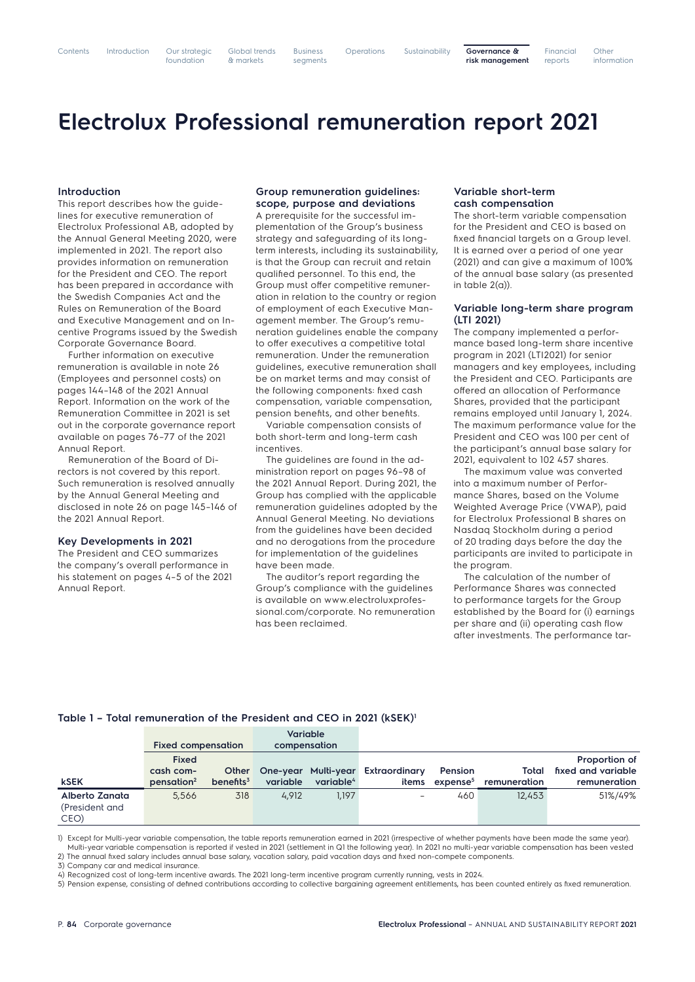1) Except for Multi-year variable compensation, the table reports remuneration earned in 2021 (irrespective of whether payments have been made the same year). Multi-year variable compensation is reported if vested in 2021 (settlement in Q1 the following year). In 2021 no multi-year variable compensation has been vested 2) The annual fixed salary includes annual base salary, vacation salary, paid vacation days and fixed non-compete components.

3) Company car and medical insurance.

4) Recognized cost of long-term incentive awards. The 2021 long-term incentive program currently running, vests in 2024.

5) Pension expense, consisting of defined contributions according to collective bargaining agreement entitlements, has been counted entirely as fixed remuneration.

Global trends & markets Business segments

Sustainability **Governance & risk management** Financial reports **Other** information

# **Electrolux Professional remuneration report 2021**

#### **Introduction**

This report describes how the guidelines for executive remuneration of Electrolux Professional AB, adopted by the Annual General Meeting 2020, were implemented in 2021. The report also provides information on remuneration for the President and CEO. The report has been prepared in accordance with the Swedish Companies Act and the Rules on Remuneration of the Board and Executive Management and on Incentive Programs issued by the Swedish Corporate Governance Board.

Further information on executive remuneration is available in note 26 (Employees and personnel costs) on pages 144–148 of the 2021 Annual Report. Information on the work of the Remuneration Committee in 2021 is set out in the corporate governance report available on pages 76–77 of the 2021 Annual Report.

Remuneration of the Board of Directors is not covered by this report. Such remuneration is resolved annually by the Annual General Meeting and disclosed in note 26 on page 145–146 of the 2021 Annual Report.

#### **Key Developments in 2021**

The President and CEO summarizes the company's overall performance in his statement on pages 4–5 of the 2021 Annual Report.

## **Group remuneration guidelines: scope, purpose and deviations**

A prerequisite for the successful implementation of the Group's business strategy and safeguarding of its longterm interests, including its sustainability, is that the Group can recruit and retain qualified personnel. To this end, the Group must offer competitive remuneration in relation to the country or region of employment of each Executive Management member. The Group's remuneration guidelines enable the company to offer executives a competitive total remuneration. Under the remuneration guidelines, executive remuneration shall be on market terms and may consist of the following components: fixed cash compensation, variable compensation, pension benefits, and other benefits.

Variable compensation consists of both short-term and long-term cash incentives.

The guidelines are found in the administration report on pages 96–98 of the 2021 Annual Report. During 2021, the Group has complied with the applicable remuneration guidelines adopted by the Annual General Meeting. No deviations from the guidelines have been decided and no derogations from the procedure for implementation of the guidelines have been made.

The auditor's report regarding the Group's compliance with the guidelines is available on www.electroluxprofessional.com/corporate. No remuneration has been reclaimed.

## **Variable short-term cash compensation**

The short-term variable compensation for the President and CEO is based on fixed financial targets on a Group level. It is earned over a period of one year (2021) and can give a maximum of 100% of the annual base salary (as presented in table  $2(a)$ ).

#### **Variable long-term share program (LTI 2021)**

The company implemented a performance based long-term share incentive program in 2021 (LTI2021) for senior managers and key employees, including the President and CEO. Participants are offered an allocation of Performance Shares, provided that the participant remains employed until January 1, 2024. The maximum performance value for the President and CEO was 100 per cent of the participant's annual base salary for 2021, equivalent to 102 457 shares.

The maximum value was converted into a maximum number of Performance Shares, based on the Volume Weighted Average Price (VWAP), paid for Electrolux Professional B shares on Nasdaq Stockholm during a period of 20 trading days before the day the participants are invited to participate in the program.

The calculation of the number of Performance Shares was connected to performance targets for the Group established by the Board for (i) earnings per share and (ii) operating cash flow after investments. The performance tar-

#### **Table 1 – Total remuneration of the President and CEO in 2021 (kSEK)1**

|                                          | <b>Fixed compensation</b>                              |                              | <b>Variable</b><br>compensation |                       |                                            |                                        |                       |                                                     |
|------------------------------------------|--------------------------------------------------------|------------------------------|---------------------------------|-----------------------|--------------------------------------------|----------------------------------------|-----------------------|-----------------------------------------------------|
| <b>kSEK</b>                              | <b>Fixed</b><br>cash com-<br>$p$ ensation <sup>2</sup> | <b>Other</b><br>benefits $3$ | variable                        | variable <sup>4</sup> | One-year Multi-year Extraordinary<br>items | <b>Pension</b><br>expense <sup>5</sup> | Total<br>remuneration | Proportion of<br>fixed and variable<br>remuneration |
| Alberto Zanata<br>(President and<br>CEO) | 5,566                                                  | 318                          | 4,912                           | 1,197                 |                                            | 460                                    | 12,453                | 51%/49%                                             |